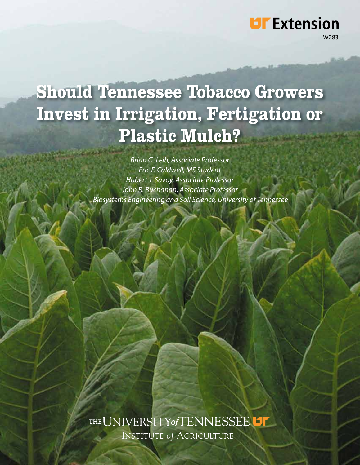# **Should Tennessee Tobacco Growers** Invest in Irrigation, Fertigation or **Plastic Mulch?**

W283

**UF** Extension

*Brian G. Leib, Associate Professor Eric F. Caldwell, MS Student Hubert J. Savoy, Associate Professor John R. Buchanan, Associate Professor Biosystems Engineering and Soil Science, University of Tennessee*

# THE UNIVERSITY of TENNESSEE **INSTITUTE of AGRICULTURE**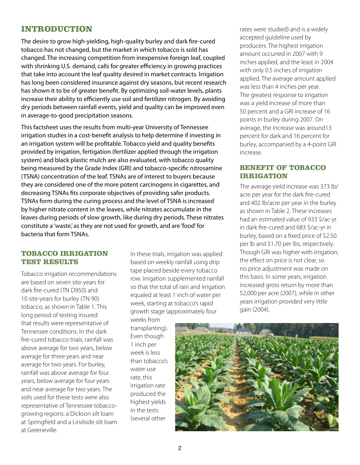# **INTRODUCTION**

The desire to grow high-yielding, high-quality burley and dark fire-cured tobacco has not changed, but the market in which tobacco is sold has changed. The increasing competition from inexpensive foreign leaf, coupled with shrinking U.S. demand, calls for greater efficiency in growing practices that take into account the leaf quality desired in market contracts. Irrigation has long been considered insurance against dry seasons, but recent research has shown it to be of greater benefit. By optimizing soil-water levels, plants increase their ability to efficiently use soil and fertilizer nitrogen. By avoiding dry periods between rainfall events, yield and quality can be improved even in average-to-good precipitation seasons.

This factsheet uses the results from multi-year University of Tennessee irrigation studies in a cost-benefit analysis to help determine if investing in an irrigation system will be profitable. Tobacco yield and quality benefits provided by irrigation, fertigation (fertilizer applied through the irrigation system) and black plastic mulch are also evaluated, with tobacco quality being measured by the Grade Index (GRI) and tobacco-specific nitrosamine (TSNA) concentration of the leaf. TSNAs are of interest to buyers because they are considered one of the more potent carcinogens in cigarettes, and decreasing TSNAs fits corporate objectives of providing safer products. TSNAs form during the curing process and the level of TSNA is increased by higher nitrate content in the leaves, while nitrates accumulate in the leaves during periods of slow growth, like during dry periods. These nitrates constitute a 'waste,' as they are not used for growth, and are 'food' for bacteria that form TSNAs.

#### **TOBACCO IRRIGATION TEST RESULTS**

Tobacco irrigation recommendations are based on seven site-years for dark fire-cured (TN D950) and 10 site-years for burley (TN 90) tobacco, as shown in Table 1. This long period of testing insured that results were representative of Tennessee conditions. In the dark fire-cured tobacco trials, rainfall was above average for two years, below average for three years and near average for two years. For burley, rainfall was above average for four years, below average for four years and near average for two years. The soils used for these tests were also representative of Tennessee tobaccogrowing regions: a Dickson silt loam at Springfield and a Lindside silt loam at Greeneville.

In these trials, irrigation was applied based on weekly rainfall using drip tape placed beside every tobacco row. Irrigation supplemented rainfall so that the total of rain and irrigation equaled at least 1 inch of water per week, starting at tobacco's rapid growth stage (approximately four

weeks from transplanting). Even though 1 inch per week is less than tobacco's water-use rate, this irrigation rate produced the highest yields in the tests (several other

rates were studied) and is a widely accepted guideline used by producers. The highest irrigation amount occurred in 2007 with 9 inches applied, and the least in 2004 with only 0.5 inches of irrigation applied. The average amount applied was less than 4 inches per year. The greatest response to irrigation was a yield increase of more than 50 percent and a GRI increase of 16 points in burley during 2007. On average, the increase was around13 percent for dark and 16 percent for burley, accompanied by a 4-point GRI increase.

#### **BENEFIT OF TOBACCO IRRIGATION**

The average yield increase was 373 lb/ acre per year for the dark fire-cured and 402 lb/acre per year in the burley as shown in Table 2. These increases had an estimated value of 933 \$/ac-yr in dark fire-cured and 683 \$/ac-yr in burley, based on a fixed price of \$2.50 per lb and \$1.70 per lbs, respectively. Though GRI was higher with irrigation, the effect on price is not clear, so no price adjustment was made on this basis. In some years, irrigation increased gross return by more than \$2,000 per acre (2007), while in other years irrigation provided very little gain (2004).

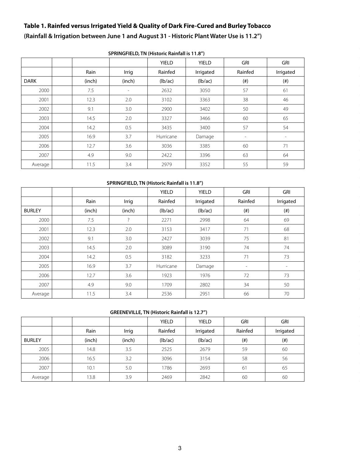# **Table 1. Rainfed versus Irrigated Yield & Quality of Dark Fire-Cured and Burley Tobacco**

**(Rainfall & Irrigation between June 1 and August 31 - Historic Plant Water Use is 11.2")**

|             |        |                          | <b>YIELD</b> | <b>YIELD</b> | <b>GRI</b>               | <b>GRI</b>        |
|-------------|--------|--------------------------|--------------|--------------|--------------------------|-------------------|
|             | Rain   | Irrig                    | Rainfed      | Irrigated    | Rainfed                  | Irrigated         |
| <b>DARK</b> | (inch) | (inch)                   | (lb/ac)      | (lb/ac)      | $(\#)$                   | $(\#)$            |
| 2000        | 7.5    | $\overline{\phantom{a}}$ | 2632         | 3050         | 57                       | 61                |
| 2001        | 12.3   | 2.0                      | 3102         | 3363         | 38                       | 46                |
| 2002        | 9.1    | 3.0                      | 2900         | 3402         | 50                       | 49                |
| 2003        | 14.5   | 2.0                      | 3327         | 3466         | 60                       | 65                |
| 2004        | 14.2   | 0.5                      | 3435         | 3400         | 57                       | 54                |
| 2005        | 16.9   | 3.7                      | Hurricane    | Damage       | $\overline{\phantom{a}}$ | $\qquad \qquad =$ |
| 2006        | 12.7   | 3.6                      | 3036         | 3385         | 60                       | 71                |
| 2007        | 4.9    | 9.0                      | 2422         | 3396         | 63                       | 64                |
| Average     | 11.5   | 3.4                      | 2979         | 3352         | 55                       | 59                |

#### **SPRINGFIELD, TN (Historic Rainfall is 11.8")**

#### **SPRINGFIELD, TN (Historic Rainfall is 11.8")**

|               |        |        | <b>YIELD</b> | <b>YIELD</b> | <b>GRI</b>               | <b>GRI</b> |
|---------------|--------|--------|--------------|--------------|--------------------------|------------|
|               | Rain   | Irrig  | Rainfed      | Irrigated    | Rainfed                  | Irrigated  |
| <b>BURLEY</b> | (inch) | (inch) | (lb/ac)      | (lb/ac)      | $($ # $)$                | $($ # $)$  |
| 2000          | 7.5    | ?      | 2271         | 2998         | 64                       | 69         |
| 2001          | 12.3   | 2.0    | 3153         | 3417         | 71                       | 68         |
| 2002          | 9.1    | 3.0    | 2427         | 3039         | 75                       | 81         |
| 2003          | 14.5   | 2.0    | 3089         | 3190         | 74                       | 74         |
| 2004          | 14.2   | 0.5    | 3182         | 3233         | 71                       | 73         |
| 2005          | 16.9   | 3.7    | Hurricane    | Damage       | $\overline{\phantom{0}}$ |            |
| 2006          | 12.7   | 3.6    | 1923         | 1976         | 72                       | 73         |
| 2007          | 4.9    | 9.0    | 1709         | 2802         | 34                       | 50         |
| Average       | 11.5   | 3.4    | 2536         | 2951         | 66                       | 70         |

#### **GREENEVILLE, TN (Historic Rainfall is 12.7")**

|               |        |        | <b>YIELD</b> | <b>YIELD</b> | GRI     | <b>GRI</b> |
|---------------|--------|--------|--------------|--------------|---------|------------|
|               | Rain   | Irrig  | Rainfed      | Irrigated    | Rainfed | Irrigated  |
| <b>BURLEY</b> | (inch) | (inch) | (lb/ac)      | (lb/ac)      | (#)     | $(\#)$     |
| 2005          | 14.8   | 3.5    | 2525         | 2679         | 59      | 60         |
| 2006          | 16.5   | 3.2    | 3096         | 3154         | 58      | 56         |
| 2007          | 10.1   | 5.0    | 1786         | 2693         | 61      | 65         |
| Average       | 13.8   | 3.9    | 2469         | 2842         | 60      | 60         |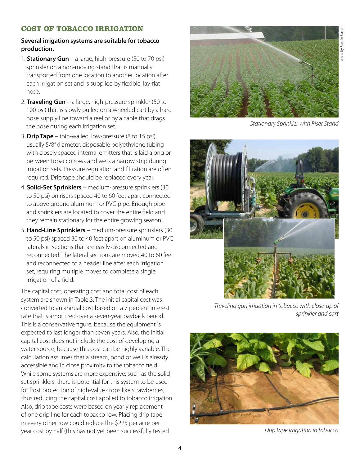## **COST OF TOBACCO IRRIGATION**

#### **Several irrigation systems are suitable for tobacco production.**

- 1. **Stationary Gun** a large, high-pressure (50 to 70 psi) sprinkler on a non-moving stand that is manually transported from one location to another location after each irrigation set and is supplied by flexible, lay-flat hose.
- 2. **Traveling Gun** a large, high-pressure sprinkler (50 to 100 psi) that is slowly pulled on a wheeled cart by a hard hose supply line toward a reel or by a cable that drags the hose during each irrigation set.
- 3. **Drip Tape** thin-walled, low-pressure (8 to 15 psi), usually 5/8" diameter, disposable polyethylene tubing with closely spaced internal emitters that is laid along or between tobacco rows and wets a narrow strip during irrigation sets. Pressure regulation and filtration are often required. Drip tape should be replaced every year.
- 4. **Solid-Set Sprinklers** medium-pressure sprinklers (30 to 50 psi) on risers spaced 40 to 60 feet apart connected to above ground aluminum or PVC pipe. Enough pipe and sprinklers are located to cover the entire field and they remain stationary for the entire growing season.
- 5. **Hand-Line Sprinklers**  medium-pressure sprinklers (30 to 50 psi) spaced 30 to 40 feet apart on aluminum or PVC laterals in sections that are easily disconnected and reconnected. The lateral sections are moved 40 to 60 feet and reconnected to a header line after each irrigation set, requiring multiple moves to complete a single irrigation of a field.

The capital cost, operating cost and total cost of each system are shown in Table 3. The initial capital cost was converted to an annual cost based on a 7 percent interest rate that is amortized over a seven-year payback period. This is a conservative figure, because the equipment is expected to last longer than seven years. Also, the initial capital cost does not include the cost of developing a water source, because this cost can be highly variable. The calculation assumes that a stream, pond or well is already accessible and in close proximity to the tobacco field. While some systems are more expensive, such as the solid set sprinklers, there is potential for this system to be used for frost protection of high-value crops like strawberries, thus reducing the capital cost applied to tobacco irrigation. Also, drip tape costs were based on yearly replacement of one drip line for each tobacco row. Placing drip tape in every other row could reduce the \$225 per acre per year cost by half (this has not yet been successfully tested *Drip tape irrigation in tobacco*



*Stationary Sprinkler with Riser Stand*



*Traveling gun irrigation in tobacco with close-up of sprinkler and cart*

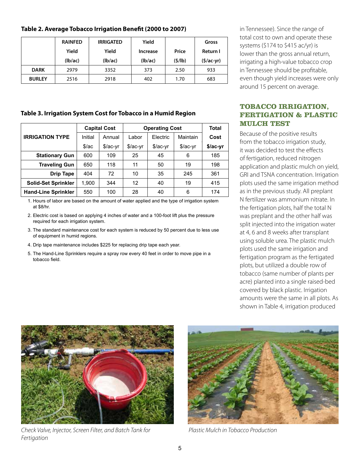#### **Table 2. Average Tobacco Irrigation Benefit (2000 to 2007)**

|               | <b>RAINFED</b> | <b>IRRIGATED</b> | Yield    |        | Gross       |
|---------------|----------------|------------------|----------|--------|-------------|
|               | Yield          | Yield            | Increase | Price  | Return I    |
|               | (lb/ac)        | (lb/ac)          | (Ib/ac)  | (5/lb) | $(5/ac-yr)$ |
| <b>DARK</b>   | 2979           | 3352             | 373      | 2.50   | 933         |
| <b>BURLEY</b> | 2516           | 2918             | 402      | 1.70   | 683         |

#### **Table 3. Irrigation System Cost for Tobacco in a Humid Region**

|                            | <b>Capital Cost</b> |           | <b>Operating Cost</b> | Total     |           |          |
|----------------------------|---------------------|-----------|-----------------------|-----------|-----------|----------|
| <b>IRRIGATION TYPE</b>     | Initial             | Annual    | Labor                 | Electric  | Maintain  | Cost     |
|                            | \$/ac               | $$/ac-yr$ | $$/ac-yr$             | $$/ac-vr$ | $$/ac-yr$ | \$/ac-yr |
| <b>Stationary Gun</b>      | 600                 | 109       | 25                    | 45        | 6         | 185      |
| <b>Traveling Gun</b>       | 650                 | 118       | 11                    | 50        | 19        | 198      |
| <b>Drip Tape</b>           | 404                 | 72        | 10                    | 35        | 245       | 361      |
| <b>Solid-Set Sprinkler</b> | 1,900               | 344       | 12                    | 40        | 19        | 415      |
| <b>Hand-Line Sprinkler</b> | 550                 | 100       | 28                    | 40        | 6         | 174      |

1. Hours of labor are based on the amount of water applied and the type of irrigation system at \$8/hr.

2. Electric cost is based on applying 4 inches of water and a 100-foot lift plus the pressure required for each irrigation system.

- 3. The standard maintenance cost for each system is reduced by 50 percent due to less use of equipment in humid regions.
- 4. Drip tape maintenance includes \$225 for replacing drip tape each year.
- 5. The Hand-Line Sprinklers require a spray row every 40 feet in order to move pipe in a tobacco field.

in Tennessee). Since the range of total cost to own and operate these systems (\$174 to \$415 ac/yr) is lower than the gross annual return, irrigating a high-value tobacco crop in Tennessee should be profitable, even though yield increases were only around 15 percent on average.

# **TOBACCO IRRIGATION, FERTIGATION & PLASTIC MULCH TEST**

Because of the positive results from the tobacco irrigation study, it was decided to test the effects of fertigation, reduced nitrogen application and plastic mulch on yield, GRI and TSNA concentration. Irrigation plots used the same irrigation method as in the previous study. All preplant N fertilizer was ammonium nitrate. In the fertigation plots, half the total N was preplant and the other half was split injected into the irrigation water at 4, 6 and 8 weeks after transplant using soluble urea. The plastic mulch plots used the same irrigation and fertigation program as the fertigated plots, but utilized a double row of tobacco (same number of plants per acre) planted into a single raised-bed covered by black plastic. Irrigation amounts were the same in all plots. As shown in Table 4, irrigation produced



*Check Valve, Injector, Screen Filter, and Batch Tank for Fertigation*



*Plastic Mulch in Tobacco Production*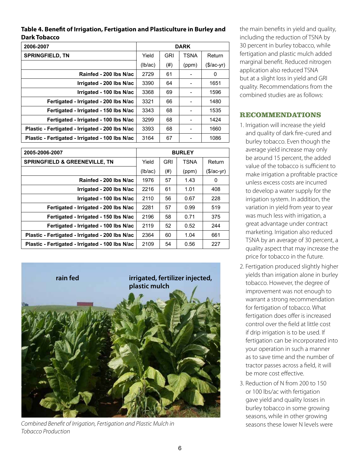| Table 4. Benefit of Irrigation, Fertigation and Plasticulture in Burley and |  |
|-----------------------------------------------------------------------------|--|
| Dark Tobacco                                                                |  |

| 2006-2007                                       | <b>DARK</b> |            |             |            |
|-------------------------------------------------|-------------|------------|-------------|------------|
| <b>SPRINGFIELD, TN</b>                          | Yield       | <b>GRI</b> | <b>TSNA</b> | Return     |
|                                                 | (lb/ac)     | (# )       | (ppm)       | (\$/ac-yr) |
| Rainfed - 200 lbs N/ac                          | 2729        | 61         |             | 0          |
| Irrigated - 200 lbs N/ac                        | 3390        | 64         |             | 1651       |
| Irrigated - 100 lbs N/ac                        | 3368        | 69         |             | 1596       |
| Fertigated - Irrigated - 200 lbs N/ac           | 3321        | 66         |             | 1480       |
| Fertigated - Irrigated - 150 lbs N/ac           | 3343        | 68         |             | 1535       |
| Fertigated - Irrigated - 100 lbs N/ac           | 3299        | 68         |             | 1424       |
| Plastic - Fertigated - Irrigated - 200 lbs N/ac | 3393        | 68         |             | 1660       |
| Plastic - Fertigated - Irrigated - 100 lbs N/ac | 3164        | 67         |             | 1086       |

| 2005-2006-2007                                  | <b>BURLEY</b> |            |             |             |  |  |
|-------------------------------------------------|---------------|------------|-------------|-------------|--|--|
| <b>SPRINGFIELD &amp; GREENEVILLE, TN</b>        | Yield         | <b>GRI</b> | <b>TSNA</b> | Return      |  |  |
|                                                 | (lb/ac)       | (# )       | (ppm)       | $($/ac-yr)$ |  |  |
| Rainfed - 200 lbs N/ac                          | 1976          | 57         | 1.43        | 0           |  |  |
| Irrigated - 200 lbs N/ac                        | 2216          | 61         | 1.01        | 408         |  |  |
| Irrigated - 100 lbs N/ac                        | 2110          | 56         | 0.67        | 228         |  |  |
| Fertigated - Irrigated - 200 lbs N/ac           | 2281          | 57         | 0.99        | 519         |  |  |
| Fertigated - Irrigated - 150 lbs N/ac           | 2196          | 58         | 0.71        | 375         |  |  |
| Fertigated - Irrigated - 100 lbs N/ac           | 2119          | 52         | 0.52        | 244         |  |  |
| Plastic - Fertigated - Irrigated - 200 lbs N/ac | 2364          | 60         | 1.04        | 661         |  |  |
| Plastic - Fertigated - Irrigated - 100 lbs N/ac | 2109          | 54         | 0.56        | 227         |  |  |



*Combined Benefit of Irrigation, Fertigation and Plastic Mulch in Tobacco Production*

the main benefits in yield and quality, including the reduction of TSNA by 30 percent in burley tobacco, while fertigation and plastic mulch added marginal benefit. Reduced nitrogen application also reduced TSNA but at a slight loss in yield and GRI quality. Recommendations from the combined studies are as follows:

# **RECOMMENDATIONS**

- 1. Irrigation will increase the yield and quality of dark fire-cured and burley tobacco. Even though the average yield increase may only be around 15 percent, the added value of the tobacco is sufficient to make irrigation a profitable practice unless excess costs are incurred to develop a water supply for the irrigation system. In addition, the variation in yield from year to year was much less with irrigation, a great advantage under contract marketing. Irrigation also reduced TSNA by an average of 30 percent, a quality aspect that may increase the price for tobacco in the future.
- 2. Fertigation produced slightly higher yields than irrigation alone in burley tobacco. However, the degree of improvement was not enough to warrant a strong recommendation for fertigation of tobacco. What fertigation does offer is increased control over the field at little cost if drip irrigation is to be used. If fertigation can be incorporated into your operation in such a manner as to save time and the number of tractor passes across a field, it will be more cost effective.
- 3. Reduction of N from 200 to 150 or 100 lbs/ac with fertigation gave yield and quality losses in burley tobacco in some growing seasons, while in other growing seasons these lower N levels were